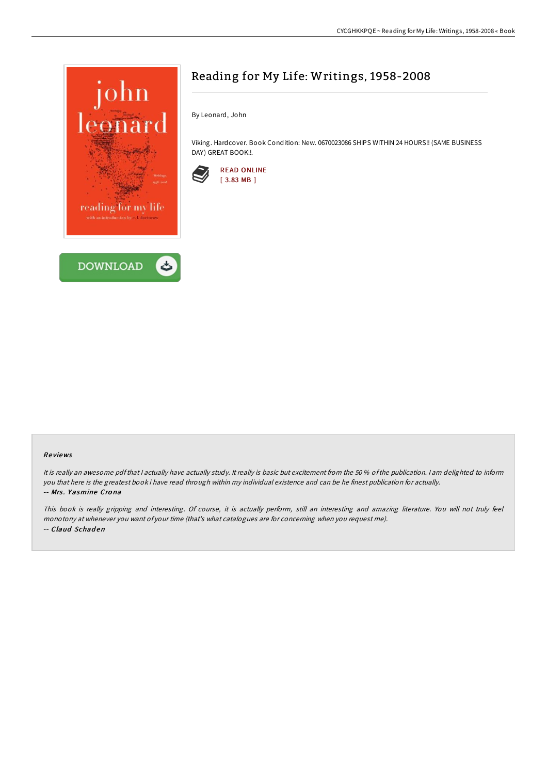

# Reading for My Life: Writings, 1958-2008

By Leonard, John

Viking. Hardcover. Book Condition: New. 0670023086 SHIPS WITHIN 24 HOURS!! (SAME BUSINESS DAY) GREAT BOOK !!.



#### Re views

It is really an awesome pdfthat <sup>I</sup> actually have actually study. It really is basic but excitement from the 50 % ofthe publication. <sup>I</sup> am delighted to inform you that here is the greatest book i have read through within my individual existence and can be he finest publication for actually. -- Mrs. Yasmine Crona

This book is really gripping and interesting. Of course, it is actually perform, still an interesting and amazing literature. You will not truly feel monotony at whenever you want of your time (that's what catalogues are for concerning when you request me). -- Claud Schaden